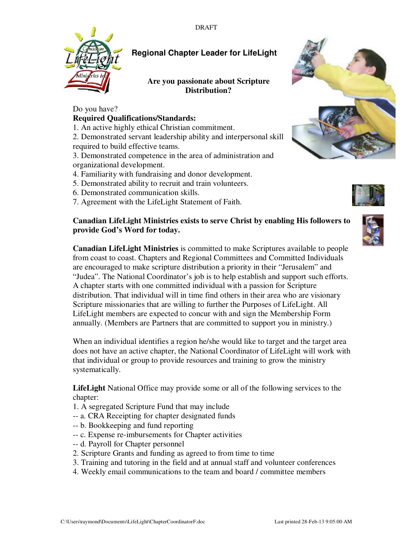

# **Regional Chapter Leader for LifeLight**

### **Are you passionate about Scripture Distribution?**

# Do you have?

### **Required Qualifications/Standards:**

1. An active highly ethical Christian commitment.

2. Demonstrated servant leadership ability and interpersonal skill required to build effective teams.

3. Demonstrated competence in the area of administration and organizational development.

- 4. Familiarity with fundraising and donor development.
- 5. Demonstrated ability to recruit and train volunteers.
- 6. Demonstrated communication skills.
- 7. Agreement with the LifeLight Statement of Faith.

### **Canadian LifeLight Ministries exists to serve Christ by enabling His followers to provide God's Word for today.**

**Canadian LifeLight Ministries** is committed to make Scriptures available to people from coast to coast. Chapters and Regional Committees and Committed Individuals are encouraged to make scripture distribution a priority in their "Jerusalem" and "Judea". The National Coordinator's job is to help establish and support such efforts. A chapter starts with one committed individual with a passion for Scripture distribution. That individual will in time find others in their area who are visionary Scripture missionaries that are willing to further the Purposes of LifeLight. All LifeLight members are expected to concur with and sign the Membership Form annually. (Members are Partners that are committed to support you in ministry.)

When an individual identifies a region he/she would like to target and the target area does not have an active chapter, the National Coordinator of LifeLight will work with that individual or group to provide resources and training to grow the ministry systematically.

**LifeLight** National Office may provide some or all of the following services to the chapter:

- 1. A segregated Scripture Fund that may include
- -- a. CRA Receipting for chapter designated funds
- -- b. Bookkeeping and fund reporting
- -- c. Expense re-imbursements for Chapter activities
- -- d. Payroll for Chapter personnel
- 2. Scripture Grants and funding as agreed to from time to time
- 3. Training and tutoring in the field and at annual staff and volunteer conferences
- 4. Weekly email communications to the team and board / committee members





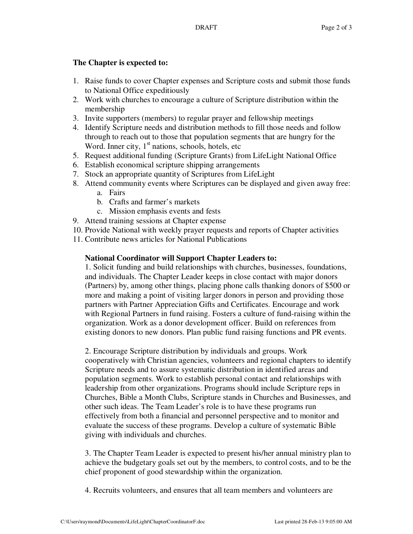### **The Chapter is expected to:**

- 1. Raise funds to cover Chapter expenses and Scripture costs and submit those funds to National Office expeditiously
- 2. Work with churches to encourage a culture of Scripture distribution within the membership
- 3. Invite supporters (members) to regular prayer and fellowship meetings
- 4. Identify Scripture needs and distribution methods to fill those needs and follow through to reach out to those that population segments that are hungry for the Word. Inner city,  $1<sup>st</sup>$  nations, schools, hotels, etc
- 5. Request additional funding (Scripture Grants) from LifeLight National Office
- 6. Establish economical scripture shipping arrangements
- 7. Stock an appropriate quantity of Scriptures from LifeLight
- 8. Attend community events where Scriptures can be displayed and given away free:
	- a. Fairs
	- b. Crafts and farmer's markets
	- c. Mission emphasis events and fests
- 9. Attend training sessions at Chapter expense
- 10. Provide National with weekly prayer requests and reports of Chapter activities
- 11. Contribute news articles for National Publications

## **National Coordinator will Support Chapter Leaders to:**

1. Solicit funding and build relationships with churches, businesses, foundations, and individuals. The Chapter Leader keeps in close contact with major donors (Partners) by, among other things, placing phone calls thanking donors of \$500 or more and making a point of visiting larger donors in person and providing those partners with Partner Appreciation Gifts and Certificates. Encourage and work with Regional Partners in fund raising. Fosters a culture of fund-raising within the organization. Work as a donor development officer. Build on references from existing donors to new donors. Plan public fund raising functions and PR events.

2. Encourage Scripture distribution by individuals and groups. Work cooperatively with Christian agencies, volunteers and regional chapters to identify Scripture needs and to assure systematic distribution in identified areas and population segments. Work to establish personal contact and relationships with leadership from other organizations. Programs should include Scripture reps in Churches, Bible a Month Clubs, Scripture stands in Churches and Businesses, and other such ideas. The Team Leader's role is to have these programs run effectively from both a financial and personnel perspective and to monitor and evaluate the success of these programs. Develop a culture of systematic Bible giving with individuals and churches.

3. The Chapter Team Leader is expected to present his/her annual ministry plan to achieve the budgetary goals set out by the members, to control costs, and to be the chief proponent of good stewardship within the organization.

4. Recruits volunteers, and ensures that all team members and volunteers are